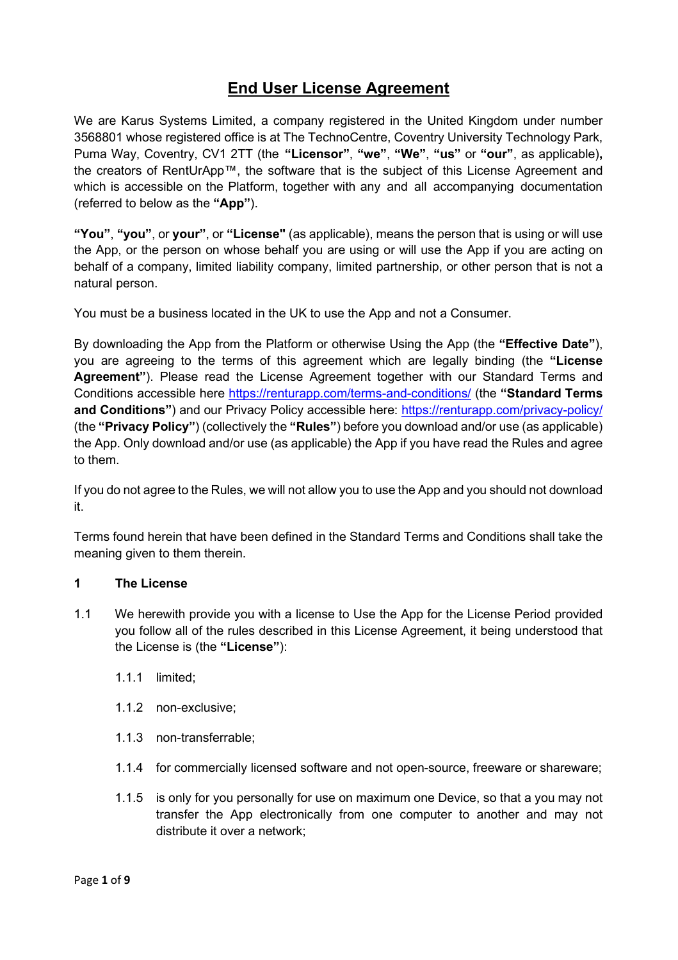# **End User License Agreement**

We are Karus Systems Limited, a company registered in the United Kingdom under number 3568801 whose registered office is at The TechnoCentre, Coventry University Technology Park, Puma Way, Coventry, CV1 2TT (the **"Licensor"**, **"we"**, **"We"**, **"us"** or **"our"**, as applicable)**,**  the creators of RentUrApp™, the software that is the subject of this License Agreement and which is accessible on the Platform, together with any and all accompanying documentation (referred to below as the **"App"**).

**"You"**, **"you"**, or **your"**, or **"License"** (as applicable), means the person that is using or will use the App, or the person on whose behalf you are using or will use the App if you are acting on behalf of a company, limited liability company, limited partnership, or other person that is not a natural person.

You must be a business located in the UK to use the App and not a Consumer.

By downloading the App from the Platform or otherwise Using the App (the **"Effective Date"**), you are agreeing to the terms of this agreement which are legally binding (the **"License Agreement"**). Please read the License Agreement together with our Standard Terms and Conditions accessible here<https://renturapp.com/terms-and-conditions/> (the **"Standard Terms and Conditions"**) and our Privacy Policy accessible here:<https://renturapp.com/privacy-policy/> (the **"Privacy Policy"**) (collectively the **"Rules"**) before you download and/or use (as applicable) the App. Only download and/or use (as applicable) the App if you have read the Rules and agree to them.

If you do not agree to the Rules, we will not allow you to use the App and you should not download it.

Terms found herein that have been defined in the Standard Terms and Conditions shall take the meaning given to them therein.

### **1 The License**

- 1.1 We herewith provide you with a license to Use the App for the License Period provided you follow all of the rules described in this License Agreement, it being understood that the License is (the **"License"**):
	- 1.1.1 limited;
	- 1.1.2 non-exclusive;
	- 1.1.3 non-transferrable;
	- 1.1.4 for commercially licensed software and not open-source, freeware or shareware;
	- 1.1.5 is only for you personally for use on maximum one Device, so that a you may not transfer the App electronically from one computer to another and may not distribute it over a network;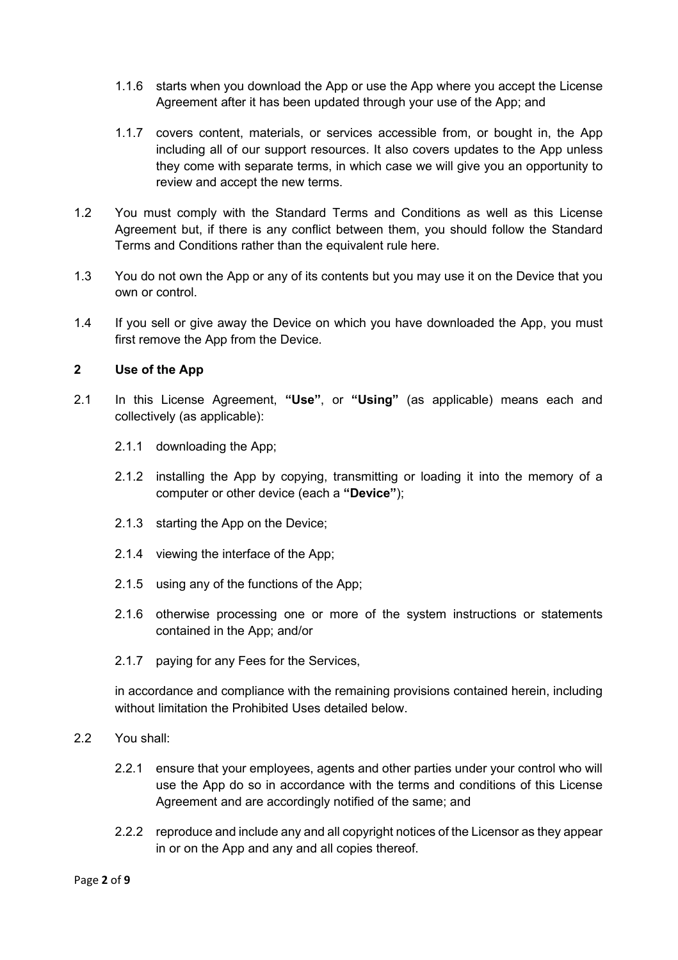- 1.1.6 starts when you download the App or use the App where you accept the License Agreement after it has been updated through your use of the App; and
- 1.1.7 covers content, materials, or services accessible from, or bought in, the App including all of our support resources. It also covers updates to the App unless they come with separate terms, in which case we will give you an opportunity to review and accept the new terms.
- 1.2 You must comply with the Standard Terms and Conditions as well as this License Agreement but, if there is any conflict between them, you should follow the Standard Terms and Conditions rather than the equivalent rule here.
- 1.3 You do not own the App or any of its contents but you may use it on the Device that you own or control.
- 1.4 If you sell or give away the Device on which you have downloaded the App, you must first remove the App from the Device.

### **2 Use of the App**

- 2.1 In this License Agreement, **"Use"**, or **"Using"** (as applicable) means each and collectively (as applicable):
	- 2.1.1 downloading the App;
	- 2.1.2 installing the App by copying, transmitting or loading it into the memory of a computer or other device (each a **"Device"**);
	- 2.1.3 starting the App on the Device;
	- 2.1.4 viewing the interface of the App;
	- 2.1.5 using any of the functions of the App;
	- 2.1.6 otherwise processing one or more of the system instructions or statements contained in the App; and/or
	- 2.1.7 paying for any Fees for the Services,

in accordance and compliance with the remaining provisions contained herein, including without limitation the Prohibited Uses detailed below.

- 2.2 You shall:
	- 2.2.1 ensure that your employees, agents and other parties under your control who will use the App do so in accordance with the terms and conditions of this License Agreement and are accordingly notified of the same; and
	- 2.2.2 reproduce and include any and all copyright notices of the Licensor as they appear in or on the App and any and all copies thereof.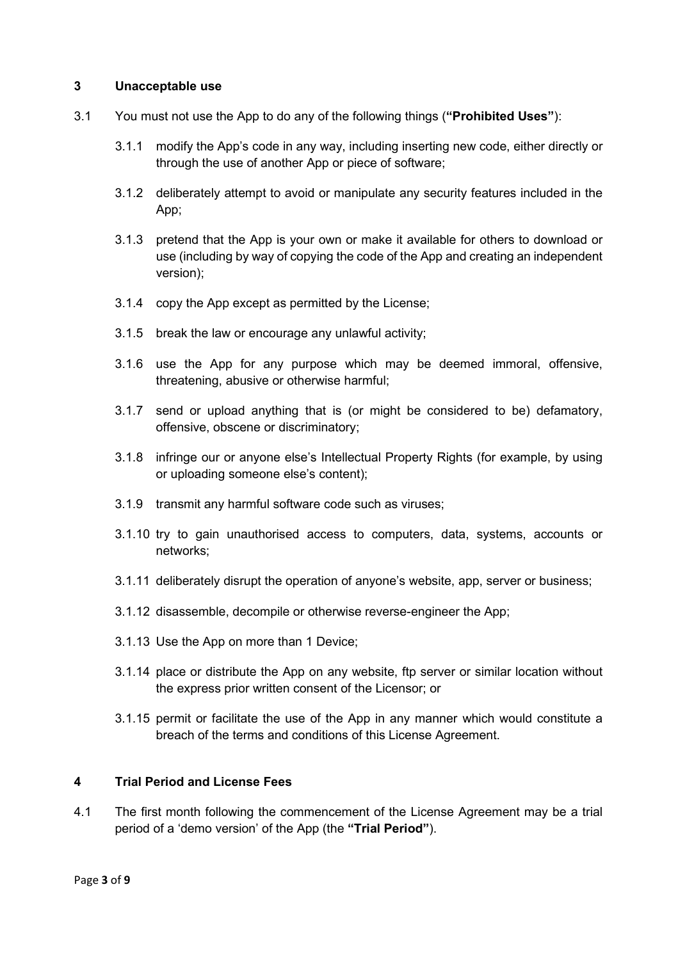#### **3 Unacceptable use**

- 3.1 You must not use the App to do any of the following things (**"Prohibited Uses"**):
	- 3.1.1 modify the App's code in any way, including inserting new code, either directly or through the use of another App or piece of software;
	- 3.1.2 deliberately attempt to avoid or manipulate any security features included in the App;
	- 3.1.3 pretend that the App is your own or make it available for others to download or use (including by way of copying the code of the App and creating an independent version);
	- 3.1.4 copy the App except as permitted by the License;
	- 3.1.5 break the law or encourage any unlawful activity;
	- 3.1.6 use the App for any purpose which may be deemed immoral, offensive, threatening, abusive or otherwise harmful;
	- 3.1.7 send or upload anything that is (or might be considered to be) defamatory, offensive, obscene or discriminatory;
	- 3.1.8 infringe our or anyone else's Intellectual Property Rights (for example, by using or uploading someone else's content);
	- 3.1.9 transmit any harmful software code such as viruses;
	- 3.1.10 try to gain unauthorised access to computers, data, systems, accounts or networks;
	- 3.1.11 deliberately disrupt the operation of anyone's website, app, server or business;
	- 3.1.12 disassemble, decompile or otherwise reverse-engineer the App;
	- 3.1.13 Use the App on more than 1 Device;
	- 3.1.14 place or distribute the App on any website, ftp server or similar location without the express prior written consent of the Licensor; or
	- 3.1.15 permit or facilitate the use of the App in any manner which would constitute a breach of the terms and conditions of this License Agreement.

### **4 Trial Period and License Fees**

4.1 The first month following the commencement of the License Agreement may be a trial period of a 'demo version' of the App (the **"Trial Period"**).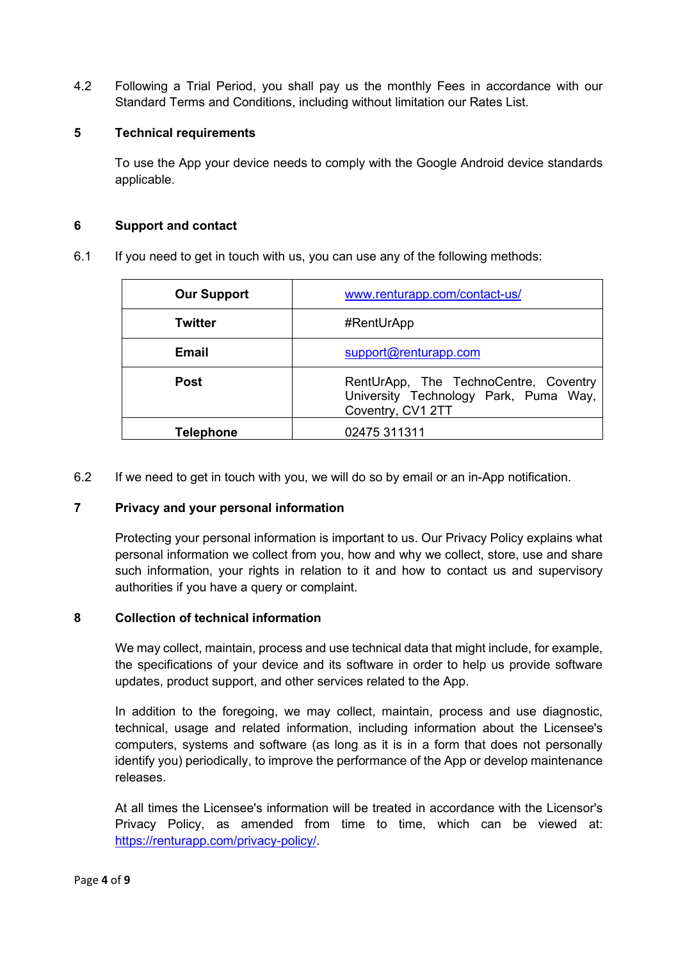4.2 Following a Trial Period, you shall pay us the monthly Fees in accordance with our Standard Terms and Conditions, including without limitation our Rates List.

### **5 Technical requirements**

To use the App your device needs to comply with the Google Android device standards applicable.

### **6 Support and contact**

6.1 If you need to get in touch with us, you can use any of the following methods:

| <b>Our Support</b> | www.renturapp.com/contact-us/                                                                       |
|--------------------|-----------------------------------------------------------------------------------------------------|
| Twitter            | #RentUrApp                                                                                          |
| Email              | support@renturapp.com                                                                               |
| <b>Post</b>        | RentUrApp, The TechnoCentre, Coventry<br>University Technology Park, Puma Way,<br>Coventry, CV1 2TT |
| <b>Telephone</b>   | 02475 311311                                                                                        |

6.2 If we need to get in touch with you, we will do so by email or an in-App notification.

### **7 Privacy and your personal information**

Protecting your personal information is important to us. Our Privacy Policy explains what personal information we collect from you, how and why we collect, store, use and share such information, your rights in relation to it and how to contact us and supervisory authorities if you have a query or complaint.

### **8 Collection of technical information**

We may collect, maintain, process and use technical data that might include, for example, the specifications of your device and its software in order to help us provide software updates, product support, and other services related to the App.

In addition to the foregoing, we may collect, maintain, process and use diagnostic, technical, usage and related information, including information about the Licensee's computers, systems and software (as long as it is in a form that does not personally identify you) periodically, to improve the performance of the App or develop maintenance releases.

At all times the Licensee's information will be treated in accordance with the Licensor's Privacy Policy, as amended from time to time, which can be viewed at: [https://renturapp.com/privacy-policy/.](https://renturapp.com/privacy-policy/)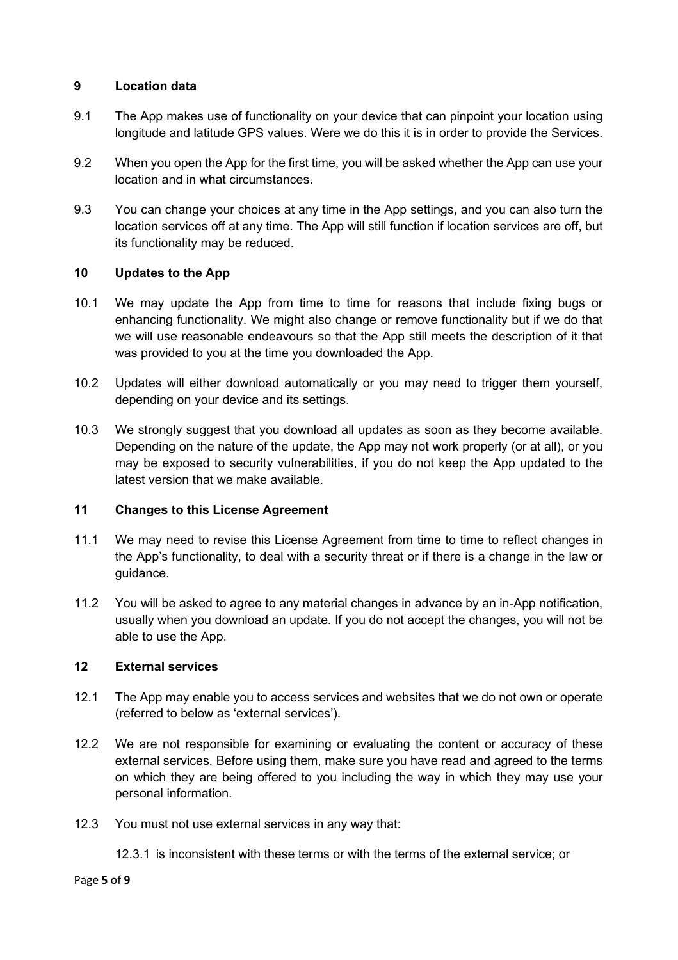### **9 Location data**

- 9.1 The App makes use of functionality on your device that can pinpoint your location using longitude and latitude GPS values. Were we do this it is in order to provide the Services.
- 9.2 When you open the App for the first time, you will be asked whether the App can use your location and in what circumstances.
- 9.3 You can change your choices at any time in the App settings, and you can also turn the location services off at any time. The App will still function if location services are off, but its functionality may be reduced.

# **10 Updates to the App**

- 10.1 We may update the App from time to time for reasons that include fixing bugs or enhancing functionality. We might also change or remove functionality but if we do that we will use reasonable endeavours so that the App still meets the description of it that was provided to you at the time you downloaded the App.
- 10.2 Updates will either download automatically or you may need to trigger them yourself, depending on your device and its settings.
- 10.3 We strongly suggest that you download all updates as soon as they become available. Depending on the nature of the update, the App may not work properly (or at all), or you may be exposed to security vulnerabilities, if you do not keep the App updated to the latest version that we make available.

# **11 Changes to this License Agreement**

- 11.1 We may need to revise this License Agreement from time to time to reflect changes in the App's functionality, to deal with a security threat or if there is a change in the law or guidance.
- 11.2 You will be asked to agree to any material changes in advance by an in-App notification, usually when you download an update. If you do not accept the changes, you will not be able to use the App.

# **12 External services**

- 12.1 The App may enable you to access services and websites that we do not own or operate (referred to below as 'external services').
- 12.2 We are not responsible for examining or evaluating the content or accuracy of these external services. Before using them, make sure you have read and agreed to the terms on which they are being offered to you including the way in which they may use your personal information.
- 12.3 You must not use external services in any way that:
	- 12.3.1 is inconsistent with these terms or with the terms of the external service; or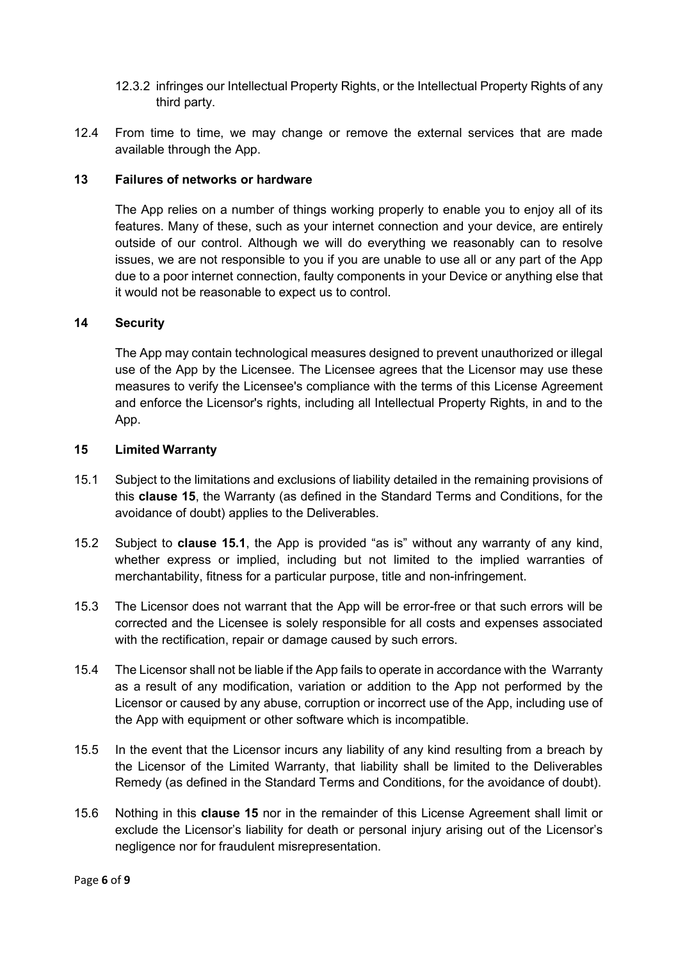- 12.3.2 infringes our Intellectual Property Rights, or the Intellectual Property Rights of any third party.
- 12.4 From time to time, we may change or remove the external services that are made available through the App.

### **13 Failures of networks or hardware**

The App relies on a number of things working properly to enable you to enjoy all of its features. Many of these, such as your internet connection and your device, are entirely outside of our control. Although we will do everything we reasonably can to resolve issues, we are not responsible to you if you are unable to use all or any part of the App due to a poor internet connection, faulty components in your Device or anything else that it would not be reasonable to expect us to control.

### **14 Security**

The App may contain technological measures designed to prevent unauthorized or illegal use of the App by the Licensee. The Licensee agrees that the Licensor may use these measures to verify the Licensee's compliance with the terms of this License Agreement and enforce the Licensor's rights, including all Intellectual Property Rights, in and to the App.

### **15 Limited Warranty**

- 15.1 Subject to the limitations and exclusions of liability detailed in the remaining provisions of this **clause 15**, the Warranty (as defined in the Standard Terms and Conditions, for the avoidance of doubt) applies to the Deliverables.
- 15.2 Subject to **clause 15.1**, the App is provided "as is" without any warranty of any kind, whether express or implied, including but not limited to the implied warranties of merchantability, fitness for a particular purpose, title and non-infringement.
- 15.3 The Licensor does not warrant that the App will be error-free or that such errors will be corrected and the Licensee is solely responsible for all costs and expenses associated with the rectification, repair or damage caused by such errors.
- 15.4 The Licensor shall not be liable if the App fails to operate in accordance with the Warranty as a result of any modification, variation or addition to the App not performed by the Licensor or caused by any abuse, corruption or incorrect use of the App, including use of the App with equipment or other software which is incompatible.
- 15.5 In the event that the Licensor incurs any liability of any kind resulting from a breach by the Licensor of the Limited Warranty, that liability shall be limited to the Deliverables Remedy (as defined in the Standard Terms and Conditions, for the avoidance of doubt).
- 15.6 Nothing in this **clause 15** nor in the remainder of this License Agreement shall limit or exclude the Licensor's liability for death or personal injury arising out of the Licensor's negligence nor for fraudulent misrepresentation.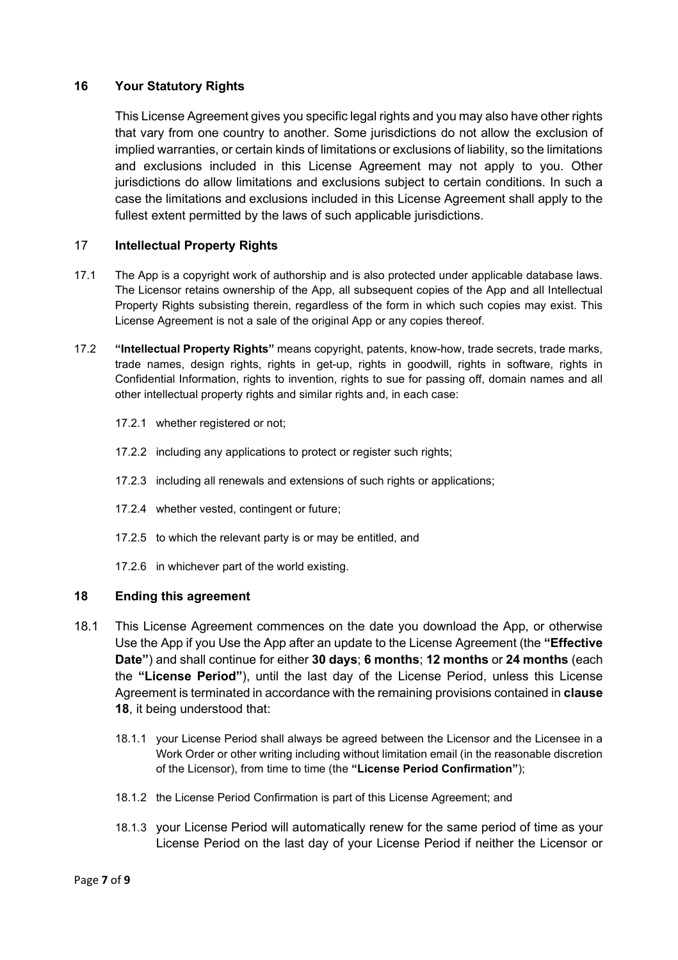### **16 Your Statutory Rights**

This License Agreement gives you specific legal rights and you may also have other rights that vary from one country to another. Some jurisdictions do not allow the exclusion of implied warranties, or certain kinds of limitations or exclusions of liability, so the limitations and exclusions included in this License Agreement may not apply to you. Other jurisdictions do allow limitations and exclusions subject to certain conditions. In such a case the limitations and exclusions included in this License Agreement shall apply to the fullest extent permitted by the laws of such applicable jurisdictions.

### 17 **Intellectual Property Rights**

- 17.1 The App is a copyright work of authorship and is also protected under applicable database laws. The Licensor retains ownership of the App, all subsequent copies of the App and all Intellectual Property Rights subsisting therein, regardless of the form in which such copies may exist. This License Agreement is not a sale of the original App or any copies thereof.
- 17.2 **"Intellectual Property Rights"** means copyright, patents, know-how, trade secrets, trade marks, trade names, design rights, rights in get-up, rights in goodwill, rights in software, rights in Confidential Information, rights to invention, rights to sue for passing off, domain names and all other intellectual property rights and similar rights and, in each case:
	- 17.2.1 whether registered or not;
	- 17.2.2 including any applications to protect or register such rights;
	- 17.2.3 including all renewals and extensions of such rights or applications;
	- 17.2.4 whether vested, contingent or future;
	- 17.2.5 to which the relevant party is or may be entitled, and
	- 17.2.6 in whichever part of the world existing.

### **18 Ending this agreement**

- 18.1 This License Agreement commences on the date you download the App, or otherwise Use the App if you Use the App after an update to the License Agreement (the **"Effective Date"**) and shall continue for either **30 days**; **6 months**; **12 months** or **24 months** (each the **"License Period"**), until the last day of the License Period, unless this License Agreement is terminated in accordance with the remaining provisions contained in **clause 18**, it being understood that:
	- 18.1.1 your License Period shall always be agreed between the Licensor and the Licensee in a Work Order or other writing including without limitation email (in the reasonable discretion of the Licensor), from time to time (the **"License Period Confirmation"**);
	- 18.1.2 the License Period Confirmation is part of this License Agreement; and
	- 18.1.3 your License Period will automatically renew for the same period of time as your License Period on the last day of your License Period if neither the Licensor or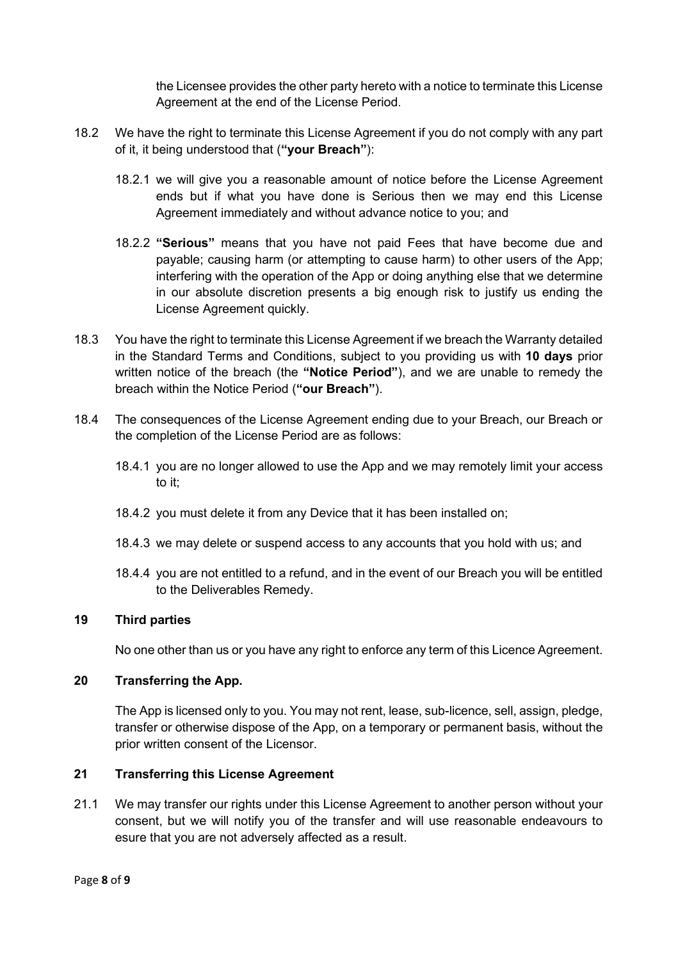the Licensee provides the other party hereto with a notice to terminate this License Agreement at the end of the License Period.

- 18.2 We have the right to terminate this License Agreement if you do not comply with any part of it, it being understood that (**"your Breach"**):
	- 18.2.1 we will give you a reasonable amount of notice before the License Agreement ends but if what you have done is Serious then we may end this License Agreement immediately and without advance notice to you; and
	- 18.2.2 **"Serious"** means that you have not paid Fees that have become due and payable; causing harm (or attempting to cause harm) to other users of the App; interfering with the operation of the App or doing anything else that we determine in our absolute discretion presents a big enough risk to justify us ending the License Agreement quickly.
- 18.3 You have the right to terminate this License Agreement if we breach the Warranty detailed in the Standard Terms and Conditions, subject to you providing us with **10 days** prior written notice of the breach (the **"Notice Period"**), and we are unable to remedy the breach within the Notice Period (**"our Breach"**).
- 18.4 The consequences of the License Agreement ending due to your Breach, our Breach or the completion of the License Period are as follows:
	- 18.4.1 you are no longer allowed to use the App and we may remotely limit your access to it;
	- 18.4.2 you must delete it from any Device that it has been installed on;
	- 18.4.3 we may delete or suspend access to any accounts that you hold with us; and
	- 18.4.4 you are not entitled to a refund, and in the event of our Breach you will be entitled to the Deliverables Remedy.

### **19 Third parties**

No one other than us or you have any right to enforce any term of this Licence Agreement.

### **20 Transferring the App.**

The App is licensed only to you. You may not rent, lease, sub-licence, sell, assign, pledge, transfer or otherwise dispose of the App, on a temporary or permanent basis, without the prior written consent of the Licensor.

### **21 Transferring this License Agreement**

21.1 We may transfer our rights under this License Agreement to another person without your consent, but we will notify you of the transfer and will use reasonable endeavours to esure that you are not adversely affected as a result.